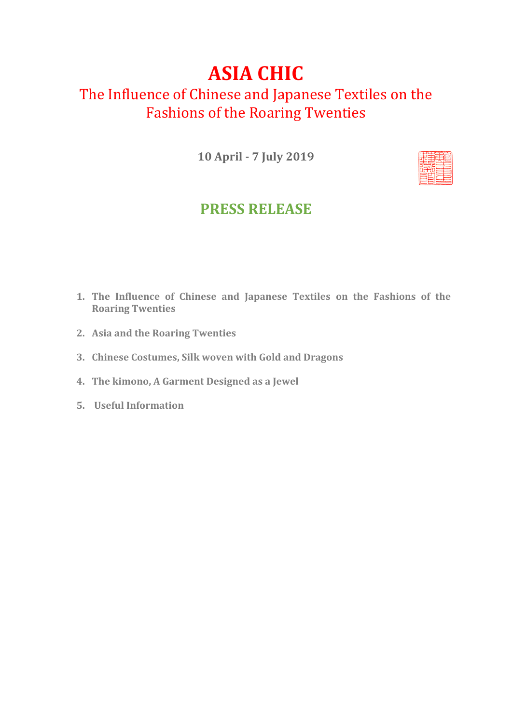# **ASIA CHIC**

# The Influence of Chinese and Japanese Textiles on the Fashions of the Roaring Twenties

**10 April - 7 July 2019**



## **PRESS RELEASE**

- **1. The Influence of Chinese and Japanese Textiles on the Fashions of the Roaring Twenties**
- **2. Asia and the Roaring Twenties**
- **3. Chinese Costumes, Silk woven with Gold and Dragons**
- **4. The kimono, A Garment Designed as a Jewel**
- **5. Useful Information**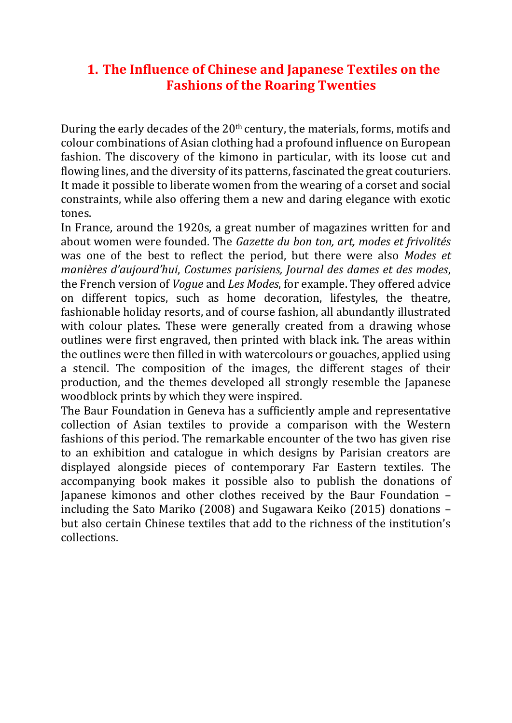#### **1. The Influence of Chinese and Japanese Textiles on the Fashions of the Roaring Twenties**

During the early decades of the 20<sup>th</sup> century, the materials, forms, motifs and colour combinations of Asian clothing had a profound influence on European fashion. The discovery of the kimono in particular, with its loose cut and flowing lines, and the diversity of its patterns, fascinated the great couturiers. It made it possible to liberate women from the wearing of a corset and social constraints, while also offering them a new and daring elegance with exotic tones.

In France, around the 1920s, a great number of magazines written for and about women were founded. The *Gazette du bon ton, art, modes et frivolités* was one of the best to reflect the period, but there were also *Modes et manières d'aujourd'hui*, *Costumes parisiens, Journal des dames et des modes*, the French version of *Vogue* and *Les Modes*, for example. They offered advice on different topics, such as home decoration, lifestyles, the theatre, fashionable holiday resorts, and of course fashion, all abundantly illustrated with colour plates. These were generally created from a drawing whose outlines were first engraved, then printed with black ink. The areas within the outlines were then filled in with watercolours or gouaches, applied using a stencil. The composition of the images, the different stages of their production, and the themes developed all strongly resemble the Japanese woodblock prints by which they were inspired.

The Baur Foundation in Geneva has a sufficiently ample and representative collection of Asian textiles to provide a comparison with the Western fashions of this period. The remarkable encounter of the two has given rise to an exhibition and catalogue in which designs by Parisian creators are displayed alongside pieces of contemporary Far Eastern textiles. The accompanying book makes it possible also to publish the donations of Japanese kimonos and other clothes received by the Baur Foundation – including the Sato Mariko (2008) and Sugawara Keiko (2015) donations – but also certain Chinese textiles that add to the richness of the institution's collections.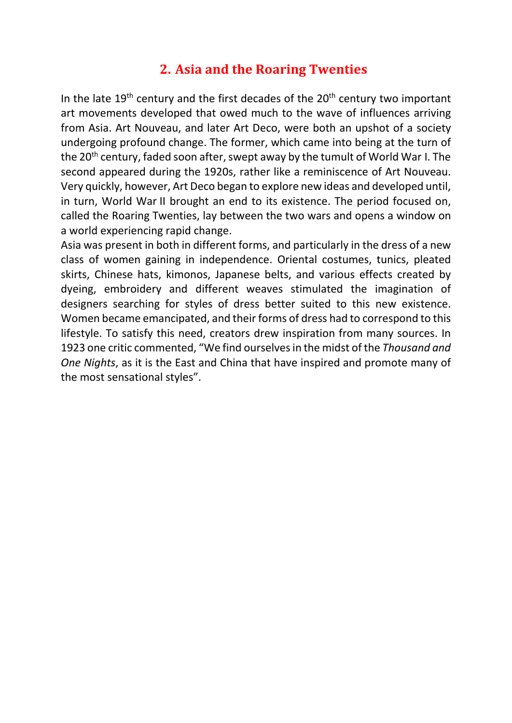### **2. Asia and the Roaring Twenties**

In the late  $19<sup>th</sup>$  century and the first decades of the  $20<sup>th</sup>$  century two important art movements developed that owed much to the wave of influences arriving from Asia. Art Nouveau, and later Art Deco, were both an upshot of a society undergoing profound change. The former, which came into being at the turn of the 20<sup>th</sup> century, faded soon after, swept away by the tumult of World War I. The second appeared during the 1920s, rather like a reminiscence of Art Nouveau. Very quickly, however, Art Deco began to explore new ideas and developed until, in turn, World War II brought an end to its existence. The period focused on, called the Roaring Twenties, lay between the two wars and opens a window on a world experiencing rapid change.

Asia was present in both in different forms, and particularly in the dress of a new class of women gaining in independence. Oriental costumes, tunics, pleated skirts, Chinese hats, kimonos, Japanese belts, and various effects created by dyeing, embroidery and different weaves stimulated the imagination of designers searching for styles of dress better suited to this new existence. Women became emancipated, and their forms of dress had to correspond to this lifestyle. To satisfy this need, creators drew inspiration from many sources. In 1923 one critic commented, "We find ourselvesin the midst of the *Thousand and One Nights*, as it is the East and China that have inspired and promote many of the most sensational styles".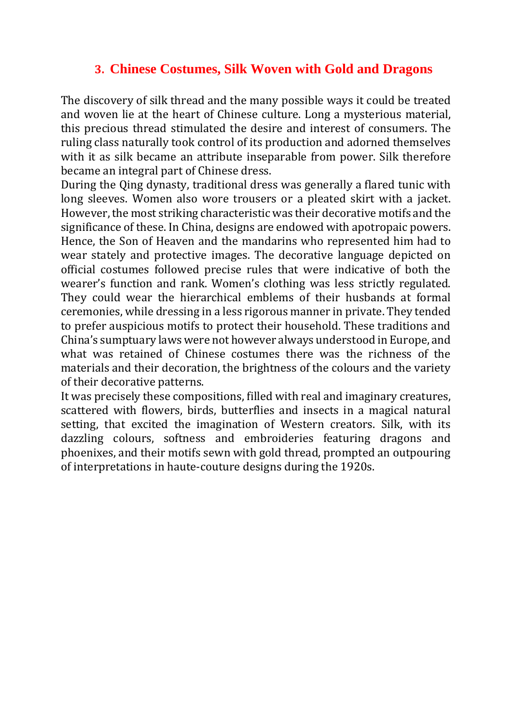#### **3. Chinese Costumes, Silk Woven with Gold and Dragons**

The discovery of silk thread and the many possible ways it could be treated and woven lie at the heart of Chinese culture. Long a mysterious material, this precious thread stimulated the desire and interest of consumers. The ruling class naturally took control of its production and adorned themselves with it as silk became an attribute inseparable from power. Silk therefore became an integral part of Chinese dress.

During the Qing dynasty, traditional dress was generally a flared tunic with long sleeves. Women also wore trousers or a pleated skirt with a jacket. However, the most striking characteristic was their decorative motifs and the significance of these. In China, designs are endowed with apotropaic powers. Hence, the Son of Heaven and the mandarins who represented him had to wear stately and protective images. The decorative language depicted on official costumes followed precise rules that were indicative of both the wearer's function and rank. Women's clothing was less strictly regulated. They could wear the hierarchical emblems of their husbands at formal ceremonies, while dressing in a less rigorous manner in private. They tended to prefer auspicious motifs to protect their household. These traditions and China's sumptuary laws were not however always understood in Europe, and what was retained of Chinese costumes there was the richness of the materials and their decoration, the brightness of the colours and the variety of their decorative patterns.

It was precisely these compositions, filled with real and imaginary creatures, scattered with flowers, birds, butterflies and insects in a magical natural setting, that excited the imagination of Western creators. Silk, with its dazzling colours, softness and embroideries featuring dragons and phoenixes, and their motifs sewn with gold thread, prompted an outpouring of interpretations in haute-couture designs during the 1920s.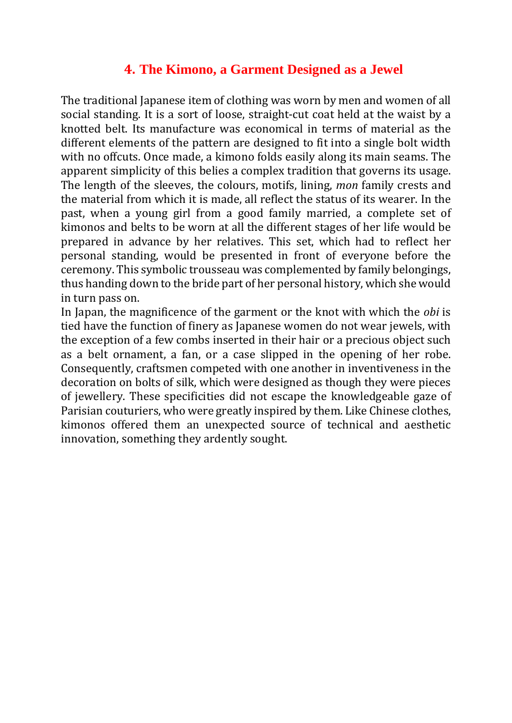#### **4. The Kimono, a Garment Designed as a Jewel**

The traditional Japanese item of clothing was worn by men and women of all social standing. It is a sort of loose, straight-cut coat held at the waist by a knotted belt. Its manufacture was economical in terms of material as the different elements of the pattern are designed to fit into a single bolt width with no offcuts. Once made, a kimono folds easily along its main seams. The apparent simplicity of this belies a complex tradition that governs its usage. The length of the sleeves, the colours, motifs, lining, *mon* family crests and the material from which it is made, all reflect the status of its wearer. In the past, when a young girl from a good family married, a complete set of kimonos and belts to be worn at all the different stages of her life would be prepared in advance by her relatives. This set, which had to reflect her personal standing, would be presented in front of everyone before the ceremony. This symbolic trousseau was complemented by family belongings, thus handing down to the bride part of her personal history, which she would in turn pass on.

In Japan, the magnificence of the garment or the knot with which the *obi* is tied have the function of finery as Japanese women do not wear jewels, with the exception of a few combs inserted in their hair or a precious object such as a belt ornament, a fan, or a case slipped in the opening of her robe. Consequently, craftsmen competed with one another in inventiveness in the decoration on bolts of silk, which were designed as though they were pieces of jewellery. These specificities did not escape the knowledgeable gaze of Parisian couturiers, who were greatly inspired by them. Like Chinese clothes, kimonos offered them an unexpected source of technical and aesthetic innovation, something they ardently sought.